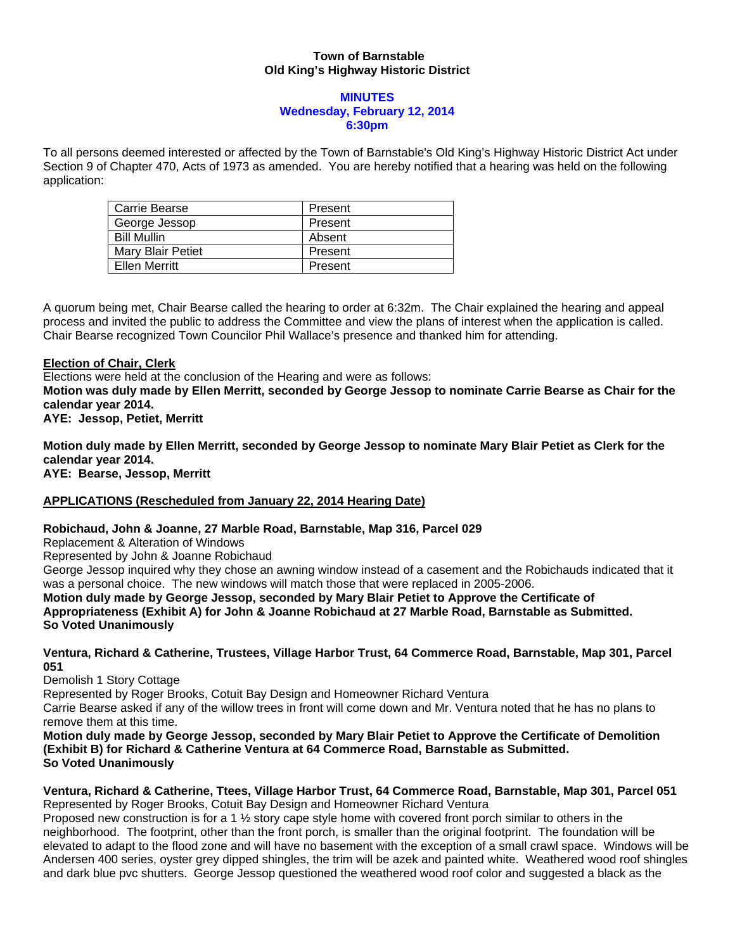### **Town of Barnstable Old King's Highway Historic District**

#### **MINUTES Wednesday, February 12, 2014 6:30pm**

To all persons deemed interested or affected by the Town of Barnstable's Old King's Highway Historic District Act under Section 9 of Chapter 470, Acts of 1973 as amended. You are hereby notified that a hearing was held on the following application:

| Carrie Bearse      | Present |
|--------------------|---------|
| George Jessop      | Present |
| <b>Bill Mullin</b> | Absent  |
| Mary Blair Petiet  | Present |
| Ellen Merritt      | Present |

A quorum being met, Chair Bearse called the hearing to order at 6:32m. The Chair explained the hearing and appeal process and invited the public to address the Committee and view the plans of interest when the application is called. Chair Bearse recognized Town Councilor Phil Wallace's presence and thanked him for attending.

### **Election of Chair, Clerk**

Elections were held at the conclusion of the Hearing and were as follows:

**Motion was duly made by Ellen Merritt, seconded by George Jessop to nominate Carrie Bearse as Chair for the calendar year 2014.** 

**AYE: Jessop, Petiet, Merritt** 

**Motion duly made by Ellen Merritt, seconded by George Jessop to nominate Mary Blair Petiet as Clerk for the calendar year 2014. AYE: Bearse, Jessop, Merritt** 

# **APPLICATIONS (Rescheduled from January 22, 2014 Hearing Date)**

# **Robichaud, John & Joanne, 27 Marble Road, Barnstable, Map 316, Parcel 029**

Replacement & Alteration of Windows

Represented by John & Joanne Robichaud

George Jessop inquired why they chose an awning window instead of a casement and the Robichauds indicated that it was a personal choice. The new windows will match those that were replaced in 2005-2006.

# **Motion duly made by George Jessop, seconded by Mary Blair Petiet to Approve the Certificate of**

**Appropriateness (Exhibit A) for John & Joanne Robichaud at 27 Marble Road, Barnstable as Submitted. So Voted Unanimously** 

**Ventura, Richard & Catherine, Trustees, Village Harbor Trust, 64 Commerce Road, Barnstable, Map 301, Parcel 051** 

Demolish 1 Story Cottage

Represented by Roger Brooks, Cotuit Bay Design and Homeowner Richard Ventura

Carrie Bearse asked if any of the willow trees in front will come down and Mr. Ventura noted that he has no plans to remove them at this time.

**Motion duly made by George Jessop, seconded by Mary Blair Petiet to Approve the Certificate of Demolition (Exhibit B) for Richard & Catherine Ventura at 64 Commerce Road, Barnstable as Submitted. So Voted Unanimously** 

#### **Ventura, Richard & Catherine, Ttees, Village Harbor Trust, 64 Commerce Road, Barnstable, Map 301, Parcel 051**  Represented by Roger Brooks, Cotuit Bay Design and Homeowner Richard Ventura

Proposed new construction is for a 1 ½ story cape style home with covered front porch similar to others in the neighborhood. The footprint, other than the front porch, is smaller than the original footprint. The foundation will be elevated to adapt to the flood zone and will have no basement with the exception of a small crawl space. Windows will be Andersen 400 series, oyster grey dipped shingles, the trim will be azek and painted white. Weathered wood roof shingles and dark blue pvc shutters. George Jessop questioned the weathered wood roof color and suggested a black as the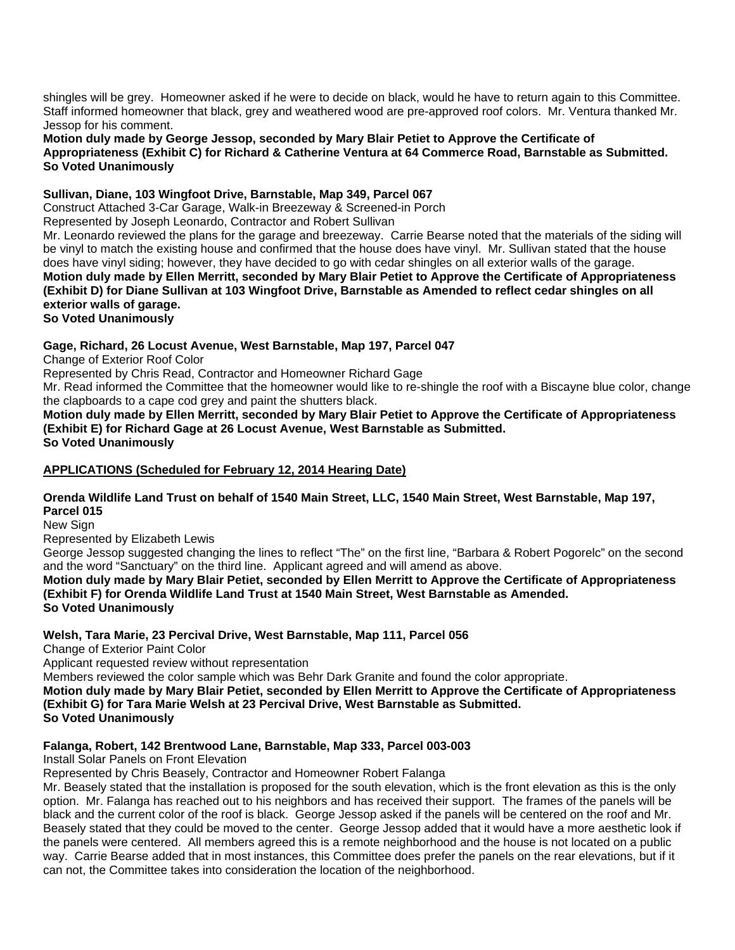shingles will be grey. Homeowner asked if he were to decide on black, would he have to return again to this Committee. Staff informed homeowner that black, grey and weathered wood are pre-approved roof colors. Mr. Ventura thanked Mr. Jessop for his comment.

**Motion duly made by George Jessop, seconded by Mary Blair Petiet to Approve the Certificate of Appropriateness (Exhibit C) for Richard & Catherine Ventura at 64 Commerce Road, Barnstable as Submitted. So Voted Unanimously**

#### **Sullivan, Diane, 103 Wingfoot Drive, Barnstable, Map 349, Parcel 067**

Construct Attached 3-Car Garage, Walk-in Breezeway & Screened-in Porch

Represented by Joseph Leonardo, Contractor and Robert Sullivan

Mr. Leonardo reviewed the plans for the garage and breezeway. Carrie Bearse noted that the materials of the siding will be vinyl to match the existing house and confirmed that the house does have vinyl. Mr. Sullivan stated that the house does have vinyl siding; however, they have decided to go with cedar shingles on all exterior walls of the garage. **Motion duly made by Ellen Merritt, seconded by Mary Blair Petiet to Approve the Certificate of Appropriateness (Exhibit D) for Diane Sullivan at 103 Wingfoot Drive, Barnstable as Amended to reflect cedar shingles on all exterior walls of garage.** 

**So Voted Unanimously** 

### **Gage, Richard, 26 Locust Avenue, West Barnstable, Map 197, Parcel 047**

Change of Exterior Roof Color

Represented by Chris Read, Contractor and Homeowner Richard Gage

Mr. Read informed the Committee that the homeowner would like to re-shingle the roof with a Biscayne blue color, change the clapboards to a cape cod grey and paint the shutters black.

**Motion duly made by Ellen Merritt, seconded by Mary Blair Petiet to Approve the Certificate of Appropriateness (Exhibit E) for Richard Gage at 26 Locust Avenue, West Barnstable as Submitted. So Voted Unanimously** 

#### **APPLICATIONS (Scheduled for February 12, 2014 Hearing Date)**

# **Orenda Wildlife Land Trust on behalf of 1540 Main Street, LLC, 1540 Main Street, West Barnstable, Map 197, Parcel 015**

New Sian

Represented by Elizabeth Lewis

George Jessop suggested changing the lines to reflect "The" on the first line, "Barbara & Robert Pogorelc" on the second and the word "Sanctuary" on the third line. Applicant agreed and will amend as above.

#### **Motion duly made by Mary Blair Petiet, seconded by Ellen Merritt to Approve the Certificate of Appropriateness (Exhibit F) for Orenda Wildlife Land Trust at 1540 Main Street, West Barnstable as Amended. So Voted Unanimously**

#### **Welsh, Tara Marie, 23 Percival Drive, West Barnstable, Map 111, Parcel 056**

Change of Exterior Paint Color

Applicant requested review without representation

Members reviewed the color sample which was Behr Dark Granite and found the color appropriate.

**Motion duly made by Mary Blair Petiet, seconded by Ellen Merritt to Approve the Certificate of Appropriateness (Exhibit G) for Tara Marie Welsh at 23 Percival Drive, West Barnstable as Submitted.** 

**So Voted Unanimously** 

# **Falanga, Robert, 142 Brentwood Lane, Barnstable, Map 333, Parcel 003-003**

Install Solar Panels on Front Elevation

Represented by Chris Beasely, Contractor and Homeowner Robert Falanga

Mr. Beasely stated that the installation is proposed for the south elevation, which is the front elevation as this is the only option. Mr. Falanga has reached out to his neighbors and has received their support. The frames of the panels will be black and the current color of the roof is black. George Jessop asked if the panels will be centered on the roof and Mr. Beasely stated that they could be moved to the center. George Jessop added that it would have a more aesthetic look if the panels were centered. All members agreed this is a remote neighborhood and the house is not located on a public way. Carrie Bearse added that in most instances, this Committee does prefer the panels on the rear elevations, but if it can not, the Committee takes into consideration the location of the neighborhood.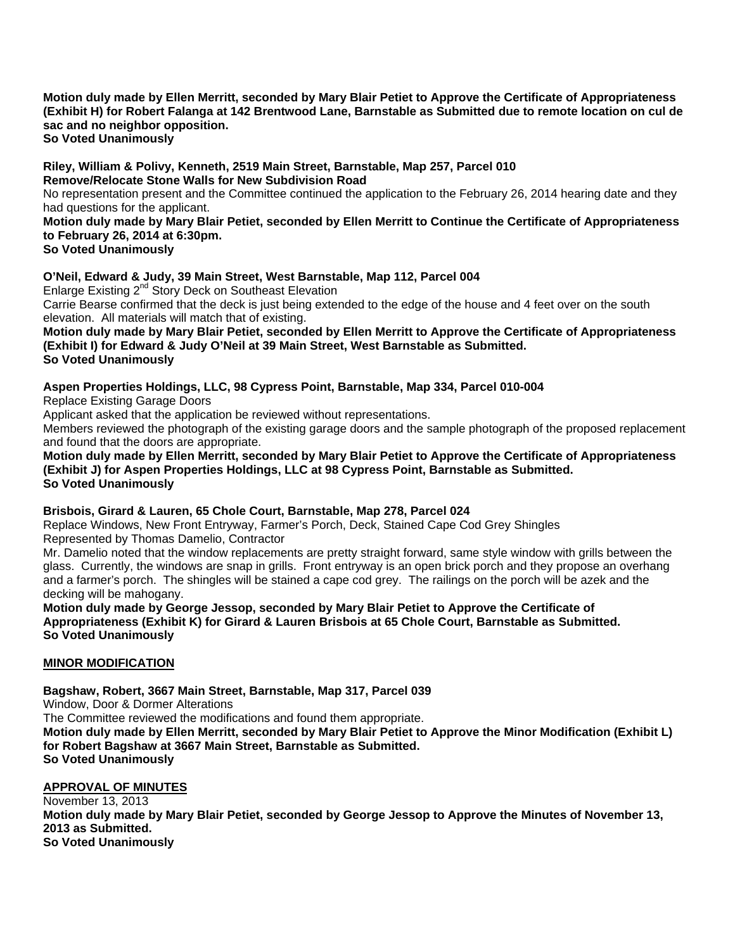#### **Motion duly made by Ellen Merritt, seconded by Mary Blair Petiet to Approve the Certificate of Appropriateness (Exhibit H) for Robert Falanga at 142 Brentwood Lane, Barnstable as Submitted due to remote location on cul de sac and no neighbor opposition. So Voted Unanimously**

**Riley, William & Polivy, Kenneth, 2519 Main Street, Barnstable, Map 257, Parcel 010 Remove/Relocate Stone Walls for New Subdivision Road** 

No representation present and the Committee continued the application to the February 26, 2014 hearing date and they had questions for the applicant.

**Motion duly made by Mary Blair Petiet, seconded by Ellen Merritt to Continue the Certificate of Appropriateness to February 26, 2014 at 6:30pm.** 

**So Voted Unanimously** 

# **O'Neil, Edward & Judy, 39 Main Street, West Barnstable, Map 112, Parcel 004**

Enlarge Existing 2<sup>nd</sup> Story Deck on Southeast Elevation Carrie Bearse confirmed that the deck is just being extended to the edge of the house and 4 feet over on the south elevation. All materials will match that of existing.

**Motion duly made by Mary Blair Petiet, seconded by Ellen Merritt to Approve the Certificate of Appropriateness (Exhibit I) for Edward & Judy O'Neil at 39 Main Street, West Barnstable as Submitted. So Voted Unanimously** 

# **Aspen Properties Holdings, LLC, 98 Cypress Point, Barnstable, Map 334, Parcel 010-004**

Replace Existing Garage Doors

Applicant asked that the application be reviewed without representations.

Members reviewed the photograph of the existing garage doors and the sample photograph of the proposed replacement and found that the doors are appropriate.

**Motion duly made by Ellen Merritt, seconded by Mary Blair Petiet to Approve the Certificate of Appropriateness (Exhibit J) for Aspen Properties Holdings, LLC at 98 Cypress Point, Barnstable as Submitted. So Voted Unanimously** 

# **Brisbois, Girard & Lauren, 65 Chole Court, Barnstable, Map 278, Parcel 024**

Replace Windows, New Front Entryway, Farmer's Porch, Deck, Stained Cape Cod Grey Shingles Represented by Thomas Damelio, Contractor

Mr. Damelio noted that the window replacements are pretty straight forward, same style window with grills between the glass. Currently, the windows are snap in grills. Front entryway is an open brick porch and they propose an overhang

and a farmer's porch. The shingles will be stained a cape cod grey. The railings on the porch will be azek and the decking will be mahogany.

**Motion duly made by George Jessop, seconded by Mary Blair Petiet to Approve the Certificate of Appropriateness (Exhibit K) for Girard & Lauren Brisbois at 65 Chole Court, Barnstable as Submitted. So Voted Unanimously** 

# **MINOR MODIFICATION**

**Bagshaw, Robert, 3667 Main Street, Barnstable, Map 317, Parcel 039** 

Window, Door & Dormer Alterations

The Committee reviewed the modifications and found them appropriate.

**Motion duly made by Ellen Merritt, seconded by Mary Blair Petiet to Approve the Minor Modification (Exhibit L) for Robert Bagshaw at 3667 Main Street, Barnstable as Submitted. So Voted Unanimously** 

# **APPROVAL OF MINUTES**

November 13, 2013 **Motion duly made by Mary Blair Petiet, seconded by George Jessop to Approve the Minutes of November 13, 2013 as Submitted. So Voted Unanimously**